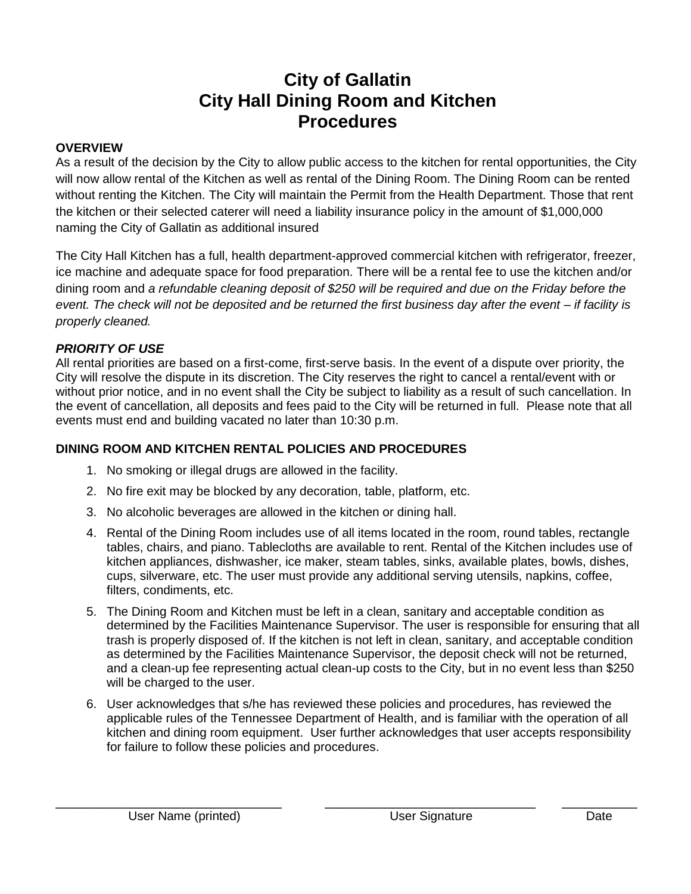# **City of Gallatin City Hall Dining Room and Kitchen Procedures**

#### **OVERVIEW**

As a result of the decision by the City to allow public access to the kitchen for rental opportunities, the City will now allow rental of the Kitchen as well as rental of the Dining Room. The Dining Room can be rented without renting the Kitchen. The City will maintain the Permit from the Health Department. Those that rent the kitchen or their selected caterer will need a liability insurance policy in the amount of \$1,000,000 naming the City of Gallatin as additional insured

The City Hall Kitchen has a full, health department-approved commercial kitchen with refrigerator, freezer, ice machine and adequate space for food preparation. There will be a rental fee to use the kitchen and/or dining room and *a refundable cleaning deposit of \$250 will be required and due on the Friday before the event. The check will not be deposited and be returned the first business day after the event – if facility is properly cleaned.*

#### *PRIORITY OF USE*

All rental priorities are based on a first-come, first-serve basis. In the event of a dispute over priority, the City will resolve the dispute in its discretion. The City reserves the right to cancel a rental/event with or without prior notice, and in no event shall the City be subject to liability as a result of such cancellation. In the event of cancellation, all deposits and fees paid to the City will be returned in full. Please note that all events must end and building vacated no later than 10:30 p.m.

### **DINING ROOM AND KITCHEN RENTAL POLICIES AND PROCEDURES**

- 1. No smoking or illegal drugs are allowed in the facility.
- 2. No fire exit may be blocked by any decoration, table, platform, etc.
- 3. No alcoholic beverages are allowed in the kitchen or dining hall.
- 4. Rental of the Dining Room includes use of all items located in the room, round tables, rectangle tables, chairs, and piano. Tablecloths are available to rent. Rental of the Kitchen includes use of kitchen appliances, dishwasher, ice maker, steam tables, sinks, available plates, bowls, dishes, cups, silverware, etc. The user must provide any additional serving utensils, napkins, coffee, filters, condiments, etc.
- 5. The Dining Room and Kitchen must be left in a clean, sanitary and acceptable condition as determined by the Facilities Maintenance Supervisor. The user is responsible for ensuring that all trash is properly disposed of. If the kitchen is not left in clean, sanitary, and acceptable condition as determined by the Facilities Maintenance Supervisor, the deposit check will not be returned, and a clean-up fee representing actual clean-up costs to the City, but in no event less than \$250 will be charged to the user.
- 6. User acknowledges that s/he has reviewed these policies and procedures, has reviewed the applicable rules of the Tennessee Department of Health, and is familiar with the operation of all kitchen and dining room equipment. User further acknowledges that user accepts responsibility for failure to follow these policies and procedures.

\_\_\_\_\_\_\_\_\_\_\_\_\_\_\_\_\_\_\_\_\_\_\_\_\_\_\_\_\_\_ \_\_\_\_\_\_\_\_\_\_\_\_\_\_\_\_\_\_\_\_\_\_\_\_\_\_\_\_ \_\_\_\_\_\_\_\_\_\_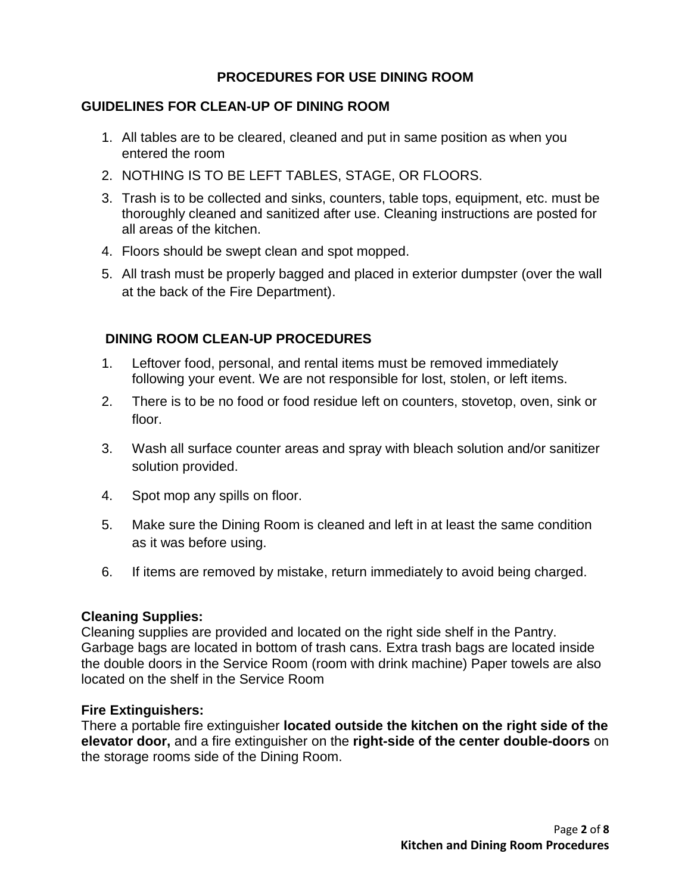## **PROCEDURES FOR USE DINING ROOM**

### **GUIDELINES FOR CLEAN-UP OF DINING ROOM**

- 1. All tables are to be cleared, cleaned and put in same position as when you entered the room
- 2. NOTHING IS TO BE LEFT TABLES, STAGE, OR FLOORS.
- 3. Trash is to be collected and sinks, counters, table tops, equipment, etc. must be thoroughly cleaned and sanitized after use. Cleaning instructions are posted for all areas of the kitchen.
- 4. Floors should be swept clean and spot mopped.
- 5. All trash must be properly bagged and placed in exterior dumpster (over the wall at the back of the Fire Department).

## **DINING ROOM CLEAN-UP PROCEDURES**

- 1. Leftover food, personal, and rental items must be removed immediately following your event. We are not responsible for lost, stolen, or left items.
- 2. There is to be no food or food residue left on counters, stovetop, oven, sink or floor.
- 3. Wash all surface counter areas and spray with bleach solution and/or sanitizer solution provided.
- 4. Spot mop any spills on floor.
- 5. Make sure the Dining Room is cleaned and left in at least the same condition as it was before using.
- 6. If items are removed by mistake, return immediately to avoid being charged.

#### **Cleaning Supplies:**

Cleaning supplies are provided and located on the right side shelf in the Pantry. Garbage bags are located in bottom of trash cans. Extra trash bags are located inside the double doors in the Service Room (room with drink machine) Paper towels are also located on the shelf in the Service Room

#### **Fire Extinguishers:**

There a portable fire extinguisher **located outside the kitchen on the right side of the elevator door,** and a fire extinguisher on the **right-side of the center double-doors** on the storage rooms side of the Dining Room.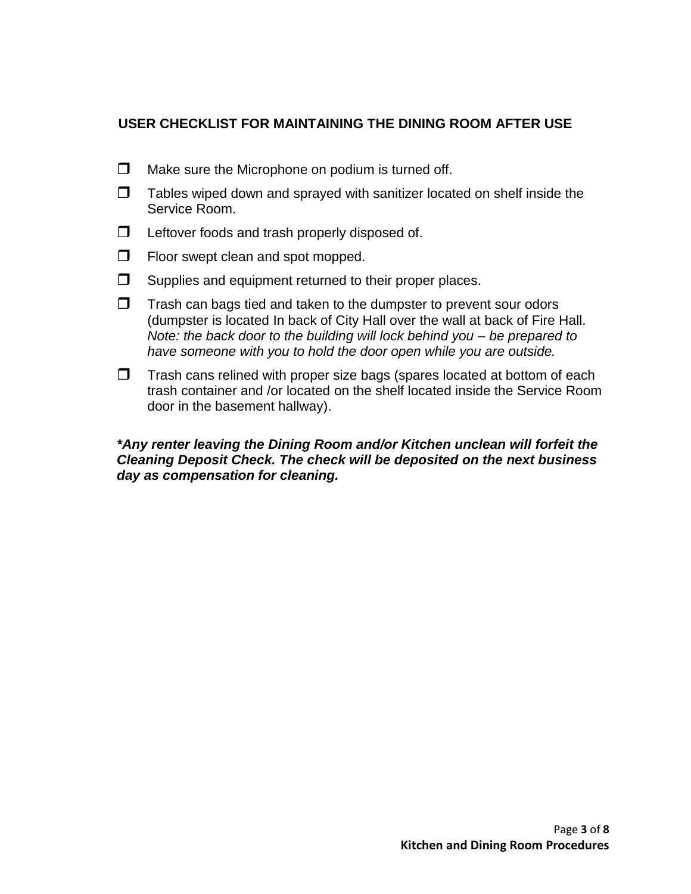## **USER CHECKLIST FOR MAINTAINING THE DINING ROOM AFTER USE**

- $\Box$  Make sure the Microphone on podium is turned off.
- $\Box$  Tables wiped down and sprayed with sanitizer located on shelf inside the Service Room.
- $\Box$  Leftover foods and trash properly disposed of.
- $\Box$  Floor swept clean and spot mopped.
- $\Box$  Supplies and equipment returned to their proper places.
- $\Box$  Trash can bags tied and taken to the dumpster to prevent sour odors (dumpster is located In back of City Hall over the wall at back of Fire Hall. *Note: the back door to the building will lock behind you – be prepared to have someone with you to hold the door open while you are outside.*
- $\Box$  Trash cans relined with proper size bags (spares located at bottom of each trash container and /or located on the shelf located inside the Service Room door in the basement hallway).

## *\*Any renter leaving the Dining Room and/or Kitchen unclean will forfeit the Cleaning Deposit Check. The check will be deposited on the next business day as compensation for cleaning.*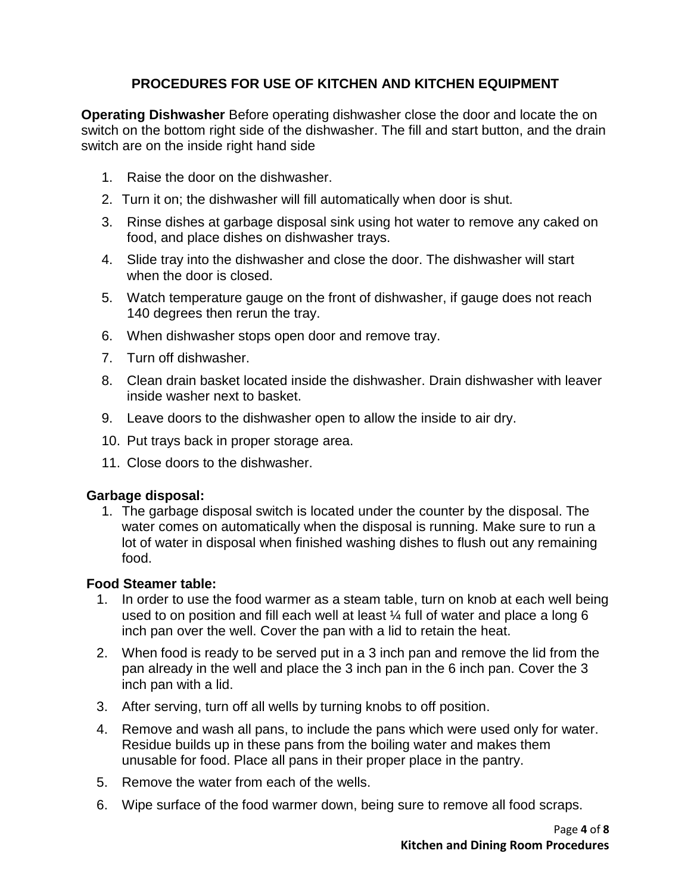# **PROCEDURES FOR USE OF KITCHEN AND KITCHEN EQUIPMENT**

**Operating Dishwasher** Before operating dishwasher close the door and locate the on switch on the bottom right side of the dishwasher. The fill and start button, and the drain switch are on the inside right hand side

- 1. Raise the door on the dishwasher.
- 2. Turn it on; the dishwasher will fill automatically when door is shut.
- 3. Rinse dishes at garbage disposal sink using hot water to remove any caked on food, and place dishes on dishwasher trays.
- 4. Slide tray into the dishwasher and close the door. The dishwasher will start when the door is closed.
- 5. Watch temperature gauge on the front of dishwasher, if gauge does not reach 140 degrees then rerun the tray.
- 6. When dishwasher stops open door and remove tray.
- 7. Turn off dishwasher.
- 8. Clean drain basket located inside the dishwasher. Drain dishwasher with leaver inside washer next to basket.
- 9. Leave doors to the dishwasher open to allow the inside to air dry.
- 10. Put trays back in proper storage area.
- 11. Close doors to the dishwasher.

#### **Garbage disposal:**

1. The garbage disposal switch is located under the counter by the disposal. The water comes on automatically when the disposal is running. Make sure to run a lot of water in disposal when finished washing dishes to flush out any remaining food.

#### **Food Steamer table:**

- 1. In order to use the food warmer as a steam table, turn on knob at each well being used to on position and fill each well at least ¼ full of water and place a long 6 inch pan over the well. Cover the pan with a lid to retain the heat.
- 2. When food is ready to be served put in a 3 inch pan and remove the lid from the pan already in the well and place the 3 inch pan in the 6 inch pan. Cover the 3 inch pan with a lid.
- 3. After serving, turn off all wells by turning knobs to off position.
- 4. Remove and wash all pans, to include the pans which were used only for water. Residue builds up in these pans from the boiling water and makes them unusable for food. Place all pans in their proper place in the pantry.
- 5. Remove the water from each of the wells.
- 6. Wipe surface of the food warmer down, being sure to remove all food scraps.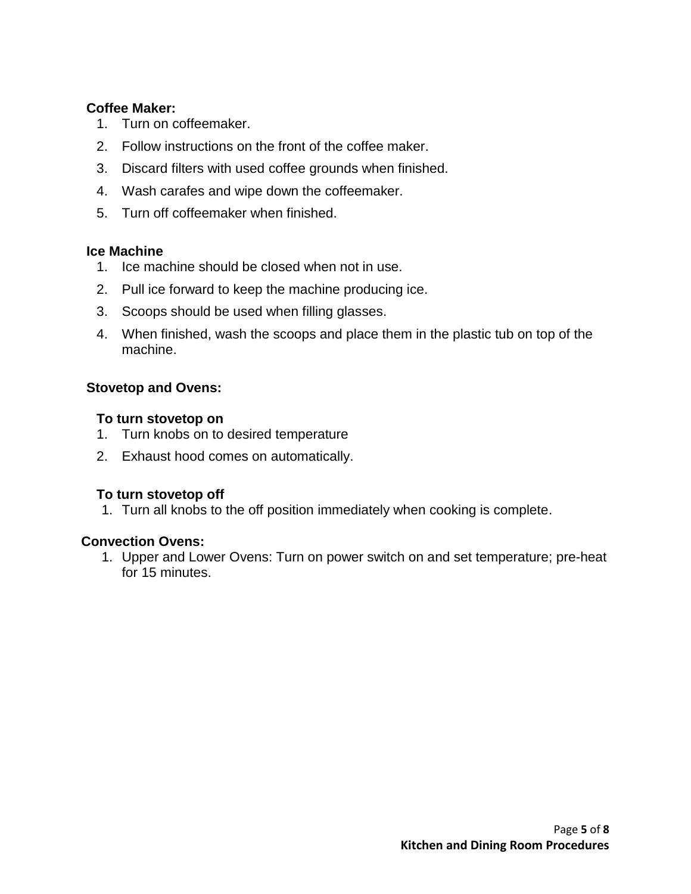## **Coffee Maker:**

- 1. Turn on coffeemaker.
- 2. Follow instructions on the front of the coffee maker.
- 3. Discard filters with used coffee grounds when finished.
- 4. Wash carafes and wipe down the coffeemaker.
- 5. Turn off coffeemaker when finished.

#### **Ice Machine**

- 1. Ice machine should be closed when not in use.
- 2. Pull ice forward to keep the machine producing ice.
- 3. Scoops should be used when filling glasses.
- 4. When finished, wash the scoops and place them in the plastic tub on top of the machine.

## **Stovetop and Ovens:**

## **To turn stovetop on**

- 1. Turn knobs on to desired temperature
- 2. Exhaust hood comes on automatically.

## **To turn stovetop off**

1. Turn all knobs to the off position immediately when cooking is complete.

#### **Convection Ovens:**

1. Upper and Lower Ovens: Turn on power switch on and set temperature; pre-heat for 15 minutes.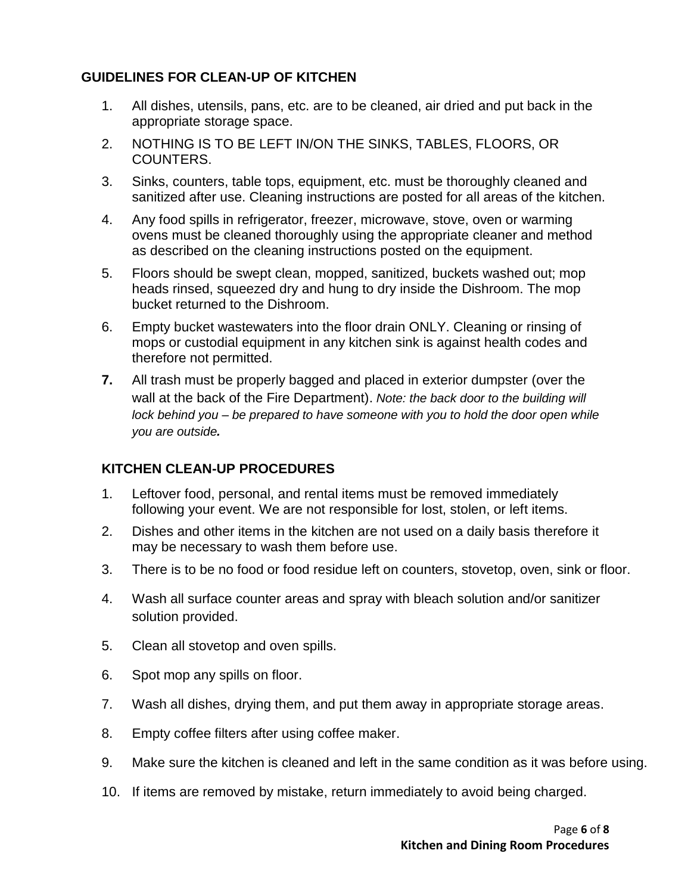## **GUIDELINES FOR CLEAN-UP OF KITCHEN**

- 1. All dishes, utensils, pans, etc. are to be cleaned, air dried and put back in the appropriate storage space.
- 2. NOTHING IS TO BE LEFT IN/ON THE SINKS, TABLES, FLOORS, OR COUNTERS.
- 3. Sinks, counters, table tops, equipment, etc. must be thoroughly cleaned and sanitized after use. Cleaning instructions are posted for all areas of the kitchen.
- 4. Any food spills in refrigerator, freezer, microwave, stove, oven or warming ovens must be cleaned thoroughly using the appropriate cleaner and method as described on the cleaning instructions posted on the equipment.
- 5. Floors should be swept clean, mopped, sanitized, buckets washed out; mop heads rinsed, squeezed dry and hung to dry inside the Dishroom. The mop bucket returned to the Dishroom.
- 6. Empty bucket wastewaters into the floor drain ONLY. Cleaning or rinsing of mops or custodial equipment in any kitchen sink is against health codes and therefore not permitted.
- **7.** All trash must be properly bagged and placed in exterior dumpster (over the wall at the back of the Fire Department). *Note: the back door to the building will lock behind you – be prepared to have someone with you to hold the door open while you are outside.*

# **KITCHEN CLEAN-UP PROCEDURES**

- 1. Leftover food, personal, and rental items must be removed immediately following your event. We are not responsible for lost, stolen, or left items.
- 2. Dishes and other items in the kitchen are not used on a daily basis therefore it may be necessary to wash them before use.
- 3. There is to be no food or food residue left on counters, stovetop, oven, sink or floor.
- 4. Wash all surface counter areas and spray with bleach solution and/or sanitizer solution provided.
- 5. Clean all stovetop and oven spills.
- 6. Spot mop any spills on floor.
- 7. Wash all dishes, drying them, and put them away in appropriate storage areas.
- 8. Empty coffee filters after using coffee maker.
- 9. Make sure the kitchen is cleaned and left in the same condition as it was before using.
- 10. If items are removed by mistake, return immediately to avoid being charged.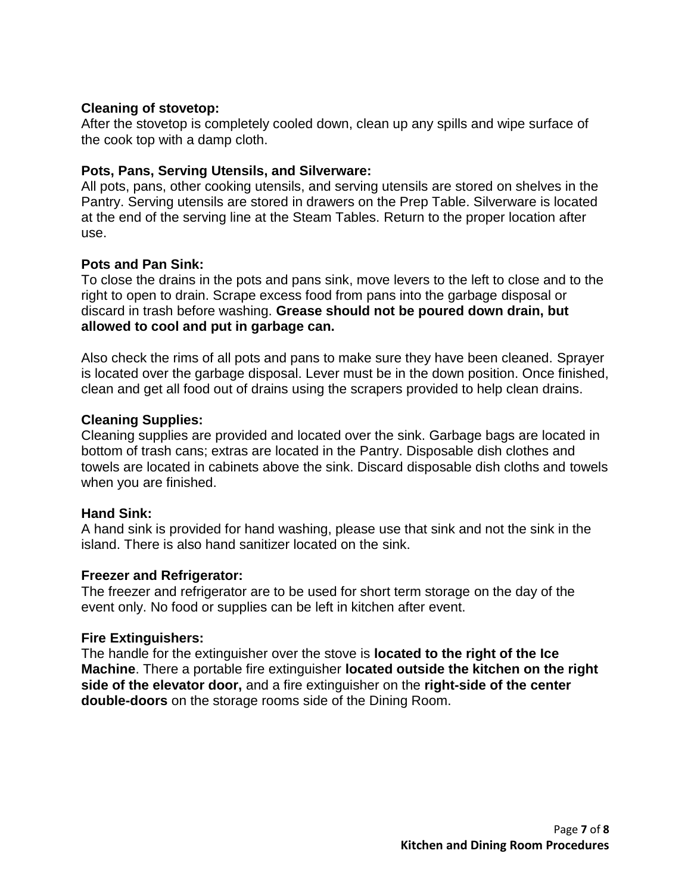#### **Cleaning of stovetop:**

After the stovetop is completely cooled down, clean up any spills and wipe surface of the cook top with a damp cloth.

## **Pots, Pans, Serving Utensils, and Silverware:**

All pots, pans, other cooking utensils, and serving utensils are stored on shelves in the Pantry. Serving utensils are stored in drawers on the Prep Table. Silverware is located at the end of the serving line at the Steam Tables. Return to the proper location after use.

## **Pots and Pan Sink:**

To close the drains in the pots and pans sink, move levers to the left to close and to the right to open to drain. Scrape excess food from pans into the garbage disposal or discard in trash before washing. **Grease should not be poured down drain, but allowed to cool and put in garbage can.** 

Also check the rims of all pots and pans to make sure they have been cleaned. Sprayer is located over the garbage disposal. Lever must be in the down position. Once finished, clean and get all food out of drains using the scrapers provided to help clean drains.

## **Cleaning Supplies:**

Cleaning supplies are provided and located over the sink. Garbage bags are located in bottom of trash cans; extras are located in the Pantry. Disposable dish clothes and towels are located in cabinets above the sink. Discard disposable dish cloths and towels when you are finished.

## **Hand Sink:**

A hand sink is provided for hand washing, please use that sink and not the sink in the island. There is also hand sanitizer located on the sink.

## **Freezer and Refrigerator:**

The freezer and refrigerator are to be used for short term storage on the day of the event only. No food or supplies can be left in kitchen after event.

## **Fire Extinguishers:**

The handle for the extinguisher over the stove is **located to the right of the Ice Machine**. There a portable fire extinguisher **located outside the kitchen on the right side of the elevator door,** and a fire extinguisher on the **right-side of the center double-doors** on the storage rooms side of the Dining Room.